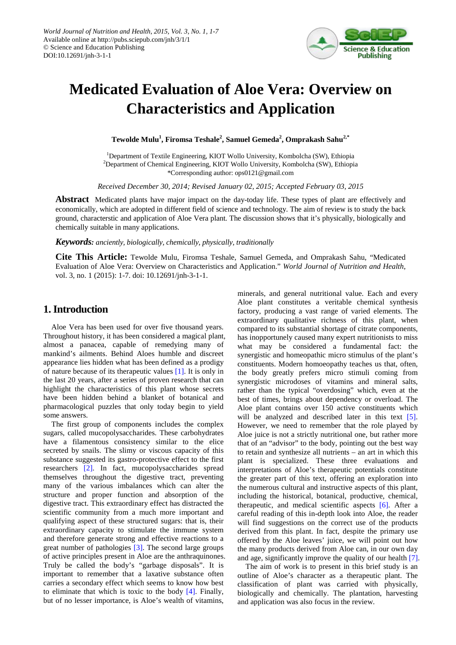

# **Medicated Evaluation of Aloe Vera: Overview on Characteristics and Application**

**Tewolde Mulu1 , Firomsa Teshale<sup>2</sup> , Samuel Gemeda<sup>2</sup> , Omprakash Sahu2,\***

<sup>1</sup>Department of Textile Engineering, KIOT Wollo University, Kombolcha (SW), Ethiopia 2 Department of Chemical Engineering, KIOT Wollo University, Kombolcha (SW), Ethiopia \*Corresponding author: ops0121@gmail.com

*Received December 30, 2014; Revised January 02, 2015; Accepted February 03, 2015*

**Abstract** Medicated plants have major impact on the day-today life. These types of plant are effectively and economically, which are adopted in different field of science and technology. The aim of review is to study the back ground, characterstic and application of Aloe Vera plant. The discussion shows that it's physically, biologically and chemically suitable in many applications.

*Keywords: anciently, biologically, chemically, physically, traditionally*

**Cite This Article:** Tewolde Mulu, Firomsa Teshale, Samuel Gemeda, and Omprakash Sahu, "Medicated Evaluation of Aloe Vera: Overview on Characteristics and Application." *World Journal of Nutrition and Health*, vol. 3, no. 1 (2015): 1-7. doi: 10.12691/jnh-3-1-1.

# **1. Introduction**

Aloe Vera has been used for over five thousand years. Throughout history, it has been considered a magical plant, almost a panacea, capable of remedying many of mankind's ailments. Behind Aloes humble and discreet appearance lies hidden what has been defined as a prodigy of nature because of its therapeutic values [\[1\].](#page-5-0) It is only in the last 20 years, after a series of proven research that can highlight the characteristics of this plant whose secrets have been hidden behind a blanket of botanical and pharmacological puzzles that only today begin to yield some answers.

The first group of components includes the complex sugars, called mucopolysaccharides. These carbohydrates have a filamentous consistency similar to the elice secreted by snails. The slimy or viscous capacity of this substance suggested its gastro-protective effect to the first researchers [\[2\].](#page-5-1) In fact, mucopolysaccharides spread themselves throughout the digestive tract, preventing many of the various imbalances which can alter the structure and proper function and absorption of the digestive tract. This extraordinary effect has distracted the scientific community from a much more important and qualifying aspect of these structured sugars: that is, their extraordinary capacity to stimulate the immune system and therefore generate strong and effective reactions to a great number of pathologies [\[3\].](#page-5-2) The second large groups of active principles present in Aloe are the anthraquinones. Truly be called the body's "garbage disposals". It is important to remember that a laxative substance often carries a secondary effect which seems to know how best to eliminate that which is toxic to the body [\[4\].](#page-5-3) Finally, but of no lesser importance, is Aloe's wealth of vitamins, minerals, and general nutritional value. Each and every Aloe plant constitutes a veritable chemical synthesis factory, producing a vast range of varied elements. The extraordinary qualitative richness of this plant, when compared to its substantial shortage of citrate components, has inopportunely caused many expert nutritionists to miss what may be considered a fundamental fact: the synergistic and homeopathic micro stimulus of the plant's constituents. Modern homoeopathy teaches us that, often, the body greatly prefers micro stimuli coming from synergistic microdoses of vitamins and mineral salts, rather than the typical "overdosing" which, even at the best of times, brings about dependency or overload. The Aloe plant contains over 150 active constituents which will be analyzed and described later in this text [\[5\].](#page-5-4) However, we need to remember that the role played by Aloe juice is not a strictly nutritional one, but rather more that of an "advisor" to the body, pointing out the best way to retain and synthesize all nutrients – an art in which this plant is specialized. These three evaluations and interpretations of Aloe's therapeutic potentials constitute the greater part of this text, offering an exploration into the numerous cultural and instructive aspects of this plant, including the historical, botanical, productive, chemical, therapeutic, and medical scientific aspects [\[6\].](#page-5-5) After a careful reading of this in-depth look into Aloe, the reader will find suggestions on the correct use of the products derived from this plant. In fact, despite the primary use offered by the Aloe leaves' juice, we will point out how the many products derived from Aloe can, in our own day and age, significantly improve the quality of our health [\[7\].](#page-5-6)

The aim of work is to present in this brief study is an outline of Aloe's character as a therapeutic plant. The classification of plant was carried with physically, biologically and chemically. The plantation, harvesting and application was also focus in the review.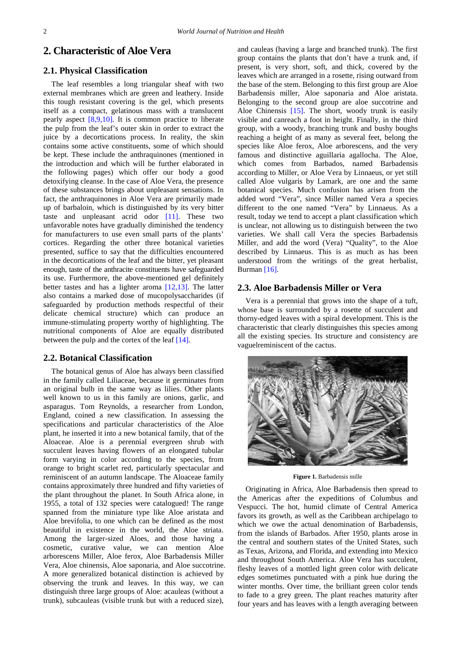## **2. Characteristic of Aloe Vera**

## **2.1. Physical Classification**

The leaf resembles a long triangular sheaf with two external membranes which are green and leathery. Inside this tough resistant covering is the gel, which presents itself as a compact, gelatinous mass with a translucent pearly aspect [\[8,9,10\].](#page-5-7) It is common practice to liberate the pulp from the leaf's outer skin in order to extract the juice by a decortications process. In reality, the skin contains some active constituents, some of which should be kept. These include the anthraquinones (mentioned in the introduction and which will be further elaborated in the following pages) which offer our body a good detoxifying cleanse. In the case of Aloe Vera, the presence of these substances brings about unpleasant sensations. In fact, the anthraquinones in Aloe Vera are primarily made up of barbaloin, which is distinguished by its very bitter taste and unpleasant acrid odor [\[11\].](#page-5-8) These two unfavorable notes have gradually diminished the tendency for manufacturers to use even small parts of the plants' cortices. Regarding the other three botanical varieties presented, suffice to say that the difficulties encountered in the decortications of the leaf and the bitter, yet pleasant enough, taste of the anthracite constituents have safeguarded its use. Furthermore, the above-mentioned gel definitely better tastes and has a lighter aroma [\[12,13\].](#page-6-0) The latter also contains a marked dose of mucopolysaccharides (if safeguarded by production methods respectful of their delicate chemical structure) which can produce an immune-stimulating property worthy of highlighting. The nutritional components of Aloe are equally distributed between the pulp and the cortex of the lea[f \[14\].](#page-6-1)

#### **2.2. Botanical Classification**

The botanical genus of Aloe has always been classified in the family called Liliaceae, because it germinates from an original bulb in the same way as lilies. Other plants well known to us in this family are onions, garlic, and asparagus. Tom Reynolds, a researcher from London, England, coined a new classification. In assessing the specifications and particular characteristics of the Aloe plant, he inserted it into a new botanical family, that of the Aloaceae. Aloe is a perennial evergreen shrub with succulent leaves having flowers of an elongated tubular form varying in color according to the species, from orange to bright scarlet red, particularly spectacular and reminiscent of an autumn landscape. The Aloaceae family contains approximately three hundred and fifty varieties of the plant throughout the planet. In South Africa alone, in 1955, a total of 132 species were catalogued! The range spanned from the miniature type like Aloe aristata and Aloe brevifolia, to one which can be defined as the most beautiful in existence in the world, the Aloe striata. Among the larger-sized Aloes, and those having a cosmetic, curative value, we can mention Aloe arborescens Miller, Aloe ferox, Aloe Barbadensis Miller Vera, Aloe chinensis, Aloe saponaria, and Aloe succotrine. A more generalized botanical distinction is achieved by observing the trunk and leaves. In this way, we can distinguish three large groups of Aloe: acauleas (without a trunk), subcauleas (visible trunk but with a reduced size),

and cauleas (having a large and branched trunk). The first group contains the plants that don't have a trunk and, if present, is very short, soft, and thick, covered by the leaves which are arranged in a rosette, rising outward from the base of the stem. Belonging to this first group are Aloe Barbadensis miller, Aloe saponaria and Aloe aristata. Belonging to the second group are aloe succotrine and Aloe Chinensis [\[15\].](#page-6-2) The short, woody trunk is easily visible and canreach a foot in height. Finally, in the third group, with a woody, branching trunk and bushy boughs reaching a height of as many as several feet, belong the species like Aloe ferox, Aloe arborescens, and the very famous and distinctive aguillaria agallocha. The Aloe, which comes from Barbados, named Barbadensis according to Miller, or Aloe Vera by Linnaeus, or yet still called Aloe vulgaris by Lamark, are one and the same botanical species. Much confusion has arisen from the added word "Vera", since Miller named Vera a species different to the one named "Vera" by Linnaeus. As a result, today we tend to accept a plant classification which is unclear, not allowing us to distinguish between the two varieties. We shall call Vera the species Barbadensis Miller, and add the word (Vera) "Quality", to the Aloe described by Linnaeus. This is as much as has been understood from the writings of the great herbalist, Burman [\[16\].](#page-6-3)

#### **2.3. Aloe Barbadensis Miller or Vera**

Vera is a perennial that grows into the shape of a tuft, whose base is surrounded by a rosette of succulent and thorny-edged leaves with a spiral development. This is the characteristic that clearly distinguishes this species among all the existing species. Its structure and consistency are vaguelreminiscent of the cactus.



**Figure 1.** Barbadensis mille

Originating in Africa, Aloe Barbadensis then spread to the Americas after the expeditions of Columbus and Vespucci. The hot, humid climate of Central America favors its growth, as well as the Caribbean archipelago to which we owe the actual denomination of Barbadensis, from the islands of Barbados. After 1950, plants arose in the central and southern states of the United States, such as Texas, Arizona, and Florida, and extending into Mexico and throughout South America. Aloe Vera has succulent, fleshy leaves of a mottled light green color with delicate edges sometimes punctuated with a pink hue during the winter months. Over time, the brilliant green color tends to fade to a grey green. The plant reaches maturity after four years and has leaves with a length averaging between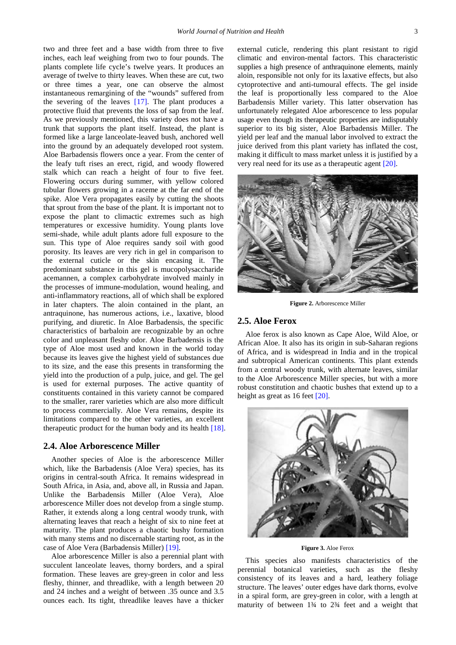two and three feet and a base width from three to five inches, each leaf weighing from two to four pounds. The plants complete life cycle's twelve years. It produces an average of twelve to thirty leaves. When these are cut, two or three times a year, one can observe the almost instantaneous remargining of the "wounds" suffered from the severing of the leaves  $[17]$ . The plant produces a protective fluid that prevents the loss of sap from the leaf. As we previously mentioned, this variety does not have a trunk that supports the plant itself. Instead, the plant is formed like a large lanceolate-leaved bush, anchored well into the ground by an adequately developed root system. Aloe Barbadensis flowers once a year. From the center of the leafy tuft rises an erect, rigid, and woody flowered stalk which can reach a height of four to five feet. Flowering occurs during summer, with yellow colored tubular flowers growing in a raceme at the far end of the spike. Aloe Vera propagates easily by cutting the shoots that sprout from the base of the plant. It is important not to expose the plant to climactic extremes such as high temperatures or excessive humidity. Young plants love semi-shade, while adult plants adore full exposure to the sun. This type of Aloe requires sandy soil with good porosity. Its leaves are very rich in gel in comparison to the external cuticle or the skin encasing it. The predominant substance in this gel is mucopolysaccharide acemannen, a complex carbohydrate involved mainly in the processes of immune-modulation, wound healing, and anti-inflammatory reactions, all of which shall be explored in later chapters. The aloin contained in the plant, an antraquinone, has numerous actions, i.e., laxative, blood purifying, and diuretic. In Aloe Barbadensis, the specific characteristics of barbaloin are recognizable by an ochre color and unpleasant fleshy odor. Aloe Barbadensis is the type of Aloe most used and known in the world today because its leaves give the highest yield of substances due to its size, and the ease this presents in transforming the yield into the production of a pulp, juice, and gel. The gel is used for external purposes. The active quantity of constituents contained in this variety cannot be compared to the smaller, rarer varieties which are also more difficult to process commercially. Aloe Vera remains, despite its limitations compared to the other varieties, an excellent therapeutic product for the human body and its health [\[18\].](#page-6-5)

#### **2.4. Aloe Arborescence Miller**

Another species of Aloe is the arborescence Miller which, like the Barbadensis (Aloe Vera) species, has its origins in central-south Africa. It remains widespread in South Africa, in Asia, and, above all, in Russia and Japan. Unlike the Barbadensis Miller (Aloe Vera), Aloe arborescence Miller does not develop from a single stump. Rather, it extends along a long central woody trunk, with alternating leaves that reach a height of six to nine feet at maturity. The plant produces a chaotic bushy formation with many stems and no discernable starting root, as in the case of Aloe Vera (Barbadensis Miller[\) \[19\].](#page-6-6)

Aloe arborescence Miller is also a perennial plant with succulent lanceolate leaves, thorny borders, and a spiral formation. These leaves are grey-green in color and less fleshy, thinner, and threadlike, with a length between 20 and 24 inches and a weight of between .35 ounce and 3.5 ounces each. Its tight, threadlike leaves have a thicker external cuticle, rendering this plant resistant to rigid climatic and environ-mental factors. This characteristic supplies a high presence of anthraquinone elements, mainly aloin, responsible not only for its laxative effects, but also cytoprotective and anti-tumoural effects. The gel inside the leaf is proportionally less compared to the Aloe Barbadensis Miller variety. This latter observation has unfortunately relegated Aloe arborescence to less popular usage even though its therapeutic properties are indisputably superior to its big sister, Aloe Barbadensis Miller. The yield per leaf and the manual labor involved to extract the juice derived from this plant variety has inflated the cost, making it difficult to mass market unless it is justified by a very real need for its use as a therapeutic agent [\[20\].](#page-6-7)



**Figure 2.** Arborescence Miller

## **2.5. Aloe Ferox**

Aloe ferox is also known as Cape Aloe, Wild Aloe, or African Aloe. It also has its origin in sub-Saharan regions of Africa, and is widespread in India and in the tropical and subtropical American continents. This plant extends from a central woody trunk, with alternate leaves, similar to the Aloe Arborescence Miller species, but with a more robust constitution and chaotic bushes that extend up to a height as great as 16 feet [\[20\].](#page-6-7)



**Figure 3.** Aloe Ferox

This species also manifests characteristics of the perennial botanical varieties, such as the fleshy consistency of its leaves and a hard, leathery foliage structure. The leaves' outer edges have dark thorns, evolve in a spiral form, are grey-green in color, with a length at maturity of between 1¾ to 2¾ feet and a weight that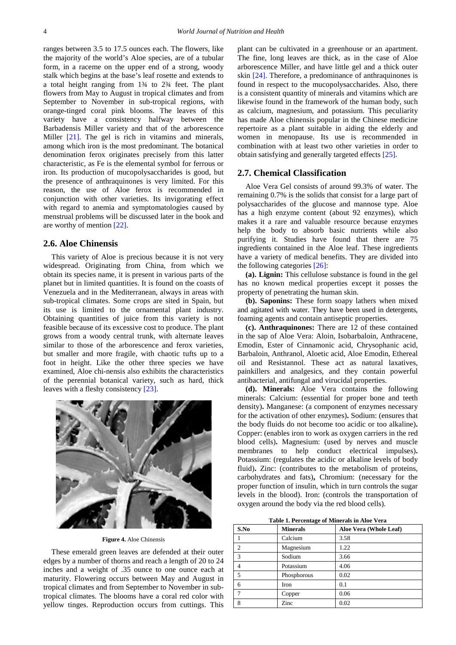ranges between 3.5 to 17.5 ounces each. The flowers, like the majority of the world's Aloe species, are of a tubular form, in a raceme on the upper end of a strong, woody stalk which begins at the base's leaf rosette and extends to a total height ranging from 1¾ to 2¾ feet. The plant flowers from May to August in tropical climates and from September to November in sub-tropical regions, with orange-tinged coral pink blooms. The leaves of this variety have a consistency halfway between the Barbadensis Miller variety and that of the arborescence Miller [\[21\].](#page-6-8) The gel is rich in vitamins and minerals, among which iron is the most predominant. The botanical denomination ferox originates precisely from this latter characteristic, as Fe is the elemental symbol for ferrous or iron. Its production of mucopolysaccharides is good, but the presence of anthraquinones is very limited. For this reason, the use of Aloe ferox is recommended in conjunction with other varieties. Its invigorating effect with regard to anemia and symptomatologies caused by menstrual problems will be discussed later in the book and are worthy of mention [\[22\].](#page-6-9)

#### **2.6. Aloe Chinensis**

This variety of Aloe is precious because it is not very widespread. Originating from China, from which we obtain its species name, it is present in various parts of the planet but in limited quantities. It is found on the coasts of Venezuela and in the Mediterranean, always in areas with sub-tropical climates. Some crops are sited in Spain, but its use is limited to the ornamental plant industry. Obtaining quantities of juice from this variety is not feasible because of its excessive cost to produce. The plant grows from a woody central trunk, with alternate leaves similar to those of the arborescence and ferox varieties, but smaller and more fragile, with chaotic tufts up to a foot in height. Like the other three species we have examined, Aloe chi-nensis also exhibits the characteristics of the perennial botanical variety, such as hard, thick leaves with a fleshy consistenc[y \[23\].](#page-6-10)



#### **Figure 4.** Aloe Chinensis

These emerald green leaves are defended at their outer edges by a number of thorns and reach a length of 20 to 24 inches and a weight of .35 ounce to one ounce each at maturity. Flowering occurs between May and August in tropical climates and from September to November in subtropical climates. The blooms have a coral red color with yellow tinges. Reproduction occurs from cuttings. This plant can be cultivated in a greenhouse or an apartment. The fine, long leaves are thick, as in the case of Aloe arborescence Miller, and have little gel and a thick outer skin [\[24\].](#page-6-11) Therefore, a predominance of anthraquinones is found in respect to the mucopolysaccharides. Also, there is a consistent quantity of minerals and vitamins which are likewise found in the framework of the human body, such as calcium, magnesium, and potassium. This peculiarity has made Aloe chinensis popular in the Chinese medicine repertoire as a plant suitable in aiding the elderly and women in menopause. Its use is recommended in combination with at least two other varieties in order to obtain satisfying and generally targeted effect[s \[25\].](#page-6-12)

#### **2.7. Chemical Classification**

Aloe Vera Gel consists of around 99.3% of water. The remaining 0.7% is the solids that consist for a large part of polysaccharides of the glucose and mannose type. Aloe has a high enzyme content (about 92 enzymes), which makes it a rare and valuable resource because enzymes help the body to absorb basic nutrients while also purifying it. Studies have found that there are 75 ingredients contained in the Aloe leaf. These ingredients have a variety of medical benefits. They are divided into the following categories [\[26\]:](#page-6-13)

**(a). Lignin:** This cellulose substance is found in the gel has no known medical properties except it posses the property of penetrating the human skin.

**(b). Saponins:** These form soapy lathers when mixed and agitated with water. They have been used in detergents, foaming agents and contain antiseptic properties.

**(c). Anthraquinones:** There are 12 of these contained in the sap of Aloe Vera: Aloin, Isobarbaloin, Anthracene, Emodin, Ester of Cinnamonic acid, Chrysophanic acid, Barbaloin, Anthranol, Aloetic acid, Aloe Emodin, Ethereal oil and Resistannol. These act as natural laxatives, painkillers and analgesics, and they contain powerful antibacterial, antifungal and virucidal properties.

**(d). Minerals:** Aloe Vera contains the following minerals: Calcium: (essential for proper bone and teeth density)**.** Manganese: (a component of enzymes necessary for the activation of other enzymes)**.** Sodium: (ensures that the body fluids do not become too acidic or too alkaline)**.**  Copper: (enables iron to work as oxygen carriers in the red blood cells)**.** Magnesium: (used by nerves and muscle membranes to help conduct electrical impulses)**.**  Potassium: (regulates the acidic or alkaline levels of body fluid). Zinc: (contributes to the metabolism of proteins, carbohydrates and fats)**,** Chromium: (necessary for the proper function of insulin, which in turn controls the sugar levels in the blood). Iron: (controls the transportation of oxygen around the body via the red blood cells).

**Table 1. Percentage of Minerals in Aloe Vera**

| S.No           | <b>Minerals</b> | Aloe Vera (Whole Leaf) |
|----------------|-----------------|------------------------|
|                | Calcium         | 3.58                   |
| $\overline{c}$ | Magnesium       | 1.22                   |
| 3              | Sodium          | 3.66                   |
| 4              | Potassium       | 4.06                   |
| 5              | Phosphorous     | 0.02                   |
| 6              | Iron            | 0.1                    |
| ┑              | Copper          | 0.06                   |
| 8              | Zinc            | 0.02                   |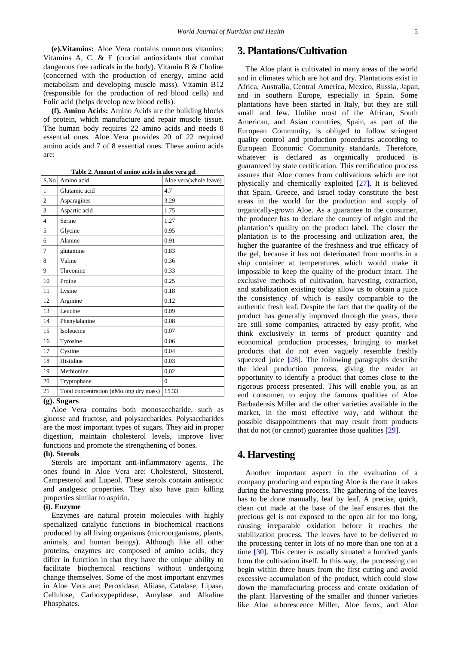**(e).Vitamins:** Aloe Vera contains numerous vitamins: Vitamins A, C, & E (crucial antioxidants that combat dangerous free radicals in the body). Vitamin B & Choline (concerned with the production of energy, amino acid metabolism and developing muscle mass). Vitamin B12 (responsible for the production of red blood cells) and Folic acid (helps develop new blood cells).

**(f). Amino Acids:** Amino Acids are the building blocks of protein, which manufacture and repair muscle tissue. The human body requires 22 amino acids and needs 8 essential ones. Aloe Vera provides 20 of 22 required amino acids and 7 of 8 essential ones. These amino acids are:

**Table 2. Amount of amino acids in aloe vera gel**

| S.No           | Amino acid                             | Aloe vera(whole leave) |
|----------------|----------------------------------------|------------------------|
| $\mathbf{1}$   | Glutamic acid                          | 4.7                    |
| $\overline{2}$ | Asparagines                            | 3.29                   |
| 3              | Aspartic acid                          | 1.75                   |
| $\overline{4}$ | Serine                                 | 1.27                   |
| 5              | Glycine                                | 0.95                   |
| 6              | Alanine                                | 0.91                   |
| 7              | glutamine                              | 0.83                   |
| 8              | Valine                                 | 0.36                   |
| 9              | Threonine                              | 0.33                   |
| 10             | Proine                                 | 0.25                   |
| 11             | Lysine                                 | 0.18                   |
| 12             | Arginine                               | 0.12                   |
| 13             | Leucine                                | 0.09                   |
| 14             | Phenylalanine                          | 0.08                   |
| 15             | Isoleucine                             | 0.07                   |
| 16             | Tyrosine                               | 0.06                   |
| 17             | Cystine                                | 0.04                   |
| 18             | Histidine                              | 0.03                   |
| 19             | Methionine                             | 0.02                   |
| 20             | Tryptophane                            | $\theta$               |
| 21             | Total concentration (nMol/mg dry mass) | 15.33                  |

#### **(g). Sugars**

Aloe Vera contains both monosaccharide, such as glucose and fructose, and polysaccharides. Polysaccharides are the most important types of sugars. They aid in proper digestion, maintain cholesterol levels, improve liver functions and promote the strengthening of bones.

#### **(h). Sterols**

Sterols are important anti-inflammatory agents. The ones found in Aloe Vera are: Cholesterol, Sitosterol, Campesterol and Lupeol. These sterols contain antiseptic and analgesic properties. They also have pain killing properties similar to aspirin.

## **(i). Enzyme**

Enzymes are natural protein molecules with highly specialized catalytic functions in biochemical reactions produced by all living organisms (microorganisms, plants, animals, and human beings). Although like all other proteins, enzymes are composed of amino acids, they differ in function in that they have the unique ability to facilitate biochemical reactions without undergoing change themselves. Some of the most important enzymes in Aloe Vera are: Peroxidase, Aliiase, Catalase, Lipase, Cellulose, Carboxypeptidase, Amylase and Alkaline Phosphates.

# **3. Plantations/Cultivation**

The Aloe plant is cultivated in many areas of the world and in climates which are hot and dry. Plantations exist in Africa, Australia, Central America, Mexico, Russia, Japan, and in southern Europe, especially in Spain. Some plantations have been started in Italy, but they are still small and few. Unlike most of the African, South American, and Asian countries, Spain, as part of the European Community, is obliged to follow stringent quality control and production procedures according to European Economic Community standards. Therefore, whatever is declared as organically produced is guaranteed by state certification. This certification process assures that Aloe comes from cultivations which are not physically and chemically exploited [\[27\].](#page-6-14) It is believed that Spain, Greece, and Israel today constitute the best areas in the world for the production and supply of organically-grown Aloe. As a guarantee to the consumer, the producer has to declare the country of origin and the plantation's quality on the product label. The closer the plantation is to the processing and utilization area, the higher the guarantee of the freshness and true efficacy of the gel, because it has not deteriorated from months in a ship container at temperatures which would make it impossible to keep the quality of the product intact. The exclusive methods of cultivation, harvesting, extraction, and stabilization existing today allow us to obtain a juice the consistency of which is easily comparable to the authentic fresh leaf. Despite the fact that the quality of the product has generally improved through the years, there are still some companies, attracted by easy profit, who think exclusively in terms of product quantity and economical production processes, bringing to market products that do not even vaguely resemble freshly squeezed juice [\[28\].](#page-6-15) The following paragraphs describe the ideal production process, giving the reader an opportunity to identify a product that comes close to the rigorous process presented. This will enable you, as an end consumer, to enjoy the famous qualities of Aloe Barbadensis Miller and the other varieties available in the market, in the most effective way, and without the possible disappointments that may result from products that do not (or cannot) guarantee those qualities [\[29\].](#page-6-16)

## **4. Harvesting**

Another important aspect in the evaluation of a company producing and exporting Aloe is the care it takes during the harvesting process. The gathering of the leaves has to be done manually, leaf by leaf. A precise, quick, clean cut made at the base of the leaf ensures that the precious gel is not exposed to the open air for too long, causing irreparable oxidation before it reaches the stabilization process. The leaves have to be delivered to the processing center in lots of no more than one ton at a time [\[30\].](#page-6-17) This center is usually situated a hundred yards from the cultivation itself. In this way, the processing can begin within three hours from the first cutting and avoid excessive accumulation of the product, which could slow down the manufacturing process and create oxidation of the plant. Harvesting of the smaller and thinner varieties like Aloe arborescence Miller, Aloe ferox, and Aloe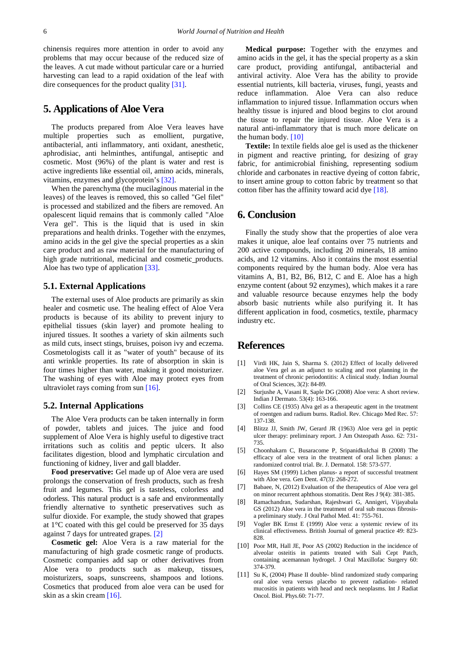chinensis requires more attention in order to avoid any problems that may occur because of the reduced size of the leaves. A cut made without particular care or a hurried harvesting can lead to a rapid oxidation of the leaf with dire consequences for the product quality [\[31\].](#page-6-18)

# **5. Applications of Aloe Vera**

The products prepared from Aloe Vera leaves have multiple properties such as emollient, purgative, antibacterial, anti inflammatory, anti oxidant, anesthetic, aphrodisiac, anti helminthes, antifungal, antiseptic and cosmetic. Most (96%) of the plant is water and rest is active ingredients like essential oil, amino acids, minerals, vitamins, enzymes and glycoprotein's [\[32\].](#page-6-19)

When the parenchyma (the mucilaginous material in the leaves) of the leaves is removed, this so called "Gel filet" is processed and stabilized and the fibers are removed. An opalescent liquid remains that is commonly called "Aloe Vera gel". This is the liquid that is used in skin preparations and health drinks. Together with the enzymes, amino acids in the gel give the special properties as a skin care product and as raw material for the manufacturing of high grade nutritional, medicinal and cosmetic products. Aloe has two type of application [\[33\].](#page-6-20)

## **5.1. External Applications**

The external uses of Aloe products are primarily as skin healer and cosmetic use. The healing effect of Aloe Vera products is because of its ability to prevent injury to epithelial tissues (skin layer) and promote healing to injured tissues. It soothes a variety of skin ailments such as mild cuts, insect stings, bruises, poison ivy and eczema. Cosmetologists call it as "water of youth" because of its anti wrinkle properties. Its rate of absorption in skin is four times higher than water, making it good moisturizer. The washing of eyes with Aloe may protect eyes from ultraviolet rays coming from sun [\[16\].](#page-6-3)

## **5.2. Internal Applications**

The Aloe Vera products can be taken internally in form of powder, tablets and juices. The juice and food supplement of Aloe Vera is highly useful to digestive tract irritations such as colitis and peptic ulcers. It also facilitates digestion, blood and lymphatic circulation and functioning of kidney, liver and gall bladder.

**Food preservative:** Gel made up of Aloe vera are used prolongs the conservation of fresh products, such as fresh fruit and legumes. This gel is tasteless, colorless and odorless. This natural product is a safe and environmentally friendly alternative to synthetic preservatives such as sulfur dioxide. For example, the study showed that grapes at 1°C coated with this gel could be preserved for 35 days against 7 days for untreated grapes. [\[2\]](#page-5-1)

**Cosmetic gel:** Aloe Vera is a raw material for the manufacturing of high grade cosmetic range of products. Cosmetic companies add sap or other derivatives from Aloe vera to products such as makeup, tissues, moisturizers, soaps, sunscreens, shampoos and lotions. Cosmetics that produced from aloe vera can be used for skin as a skin crea[m \[16\].](#page-6-3) 

**Medical purpose:** Together with the enzymes and amino acids in the gel, it has the special property as a skin care product, providing antifungal, antibacterial and antiviral activity. Aloe Vera has the ability to provide essential nutrients, kill bacteria, viruses, fungi, yeasts and reduce inflammation. Aloe Vera can also reduce inflammation to injured tissue. Inflammation occurs when healthy tissue is injured and blood begins to clot around the tissue to repair the injured tissue. Aloe Vera is a natural anti-inflammatory that is much more delicate on the human body. [\[10\]](#page-5-9)

**Textile:** In textile fields aloe gel is used as the thickener in pigment and reactive printing, for desizing of gray fabric, for antimicrobial finishing, representing sodium chloride and carbonates in reactive dyeing of cotton fabric, to insert amine group to cotton fabric by treatment so that cotton fiber has the affinity toward acid dye [\[18\].](#page-6-5)

# **6. Conclusion**

Finally the study show that the properties of aloe vera makes it unique, aloe leaf contains over 75 nutrients and 200 active compounds, including 20 minerals, 18 amino acids, and 12 vitamins. Also it contains the most essential components required by the human body. Aloe vera has vitamins A, B1, B2, B6, B12, C and E. Aloe has a high enzyme content (about 92 enzymes), which makes it a rare and valuable resource because enzymes help the body absorb basic nutrients while also purifying it. It has different application in food, cosmetics, textile, pharmacy industry etc.

## **References**

- <span id="page-5-0"></span>[1] Virdi HK, Jain S, Sharma S. (2012) Effect of locally delivered aloe Vera gel as an adjunct to scaling and root planning in the treatment of chronic periodontitis: A clinical study. Indian Journal of Oral Sciences, 3(2): 84-89.
- <span id="page-5-1"></span>[2] Surjushe A, Vasani R, Saple DG (2008) Aloe vera: A short review. Indian J Dermato. 53(4): 163-166.
- <span id="page-5-2"></span>[3] Collins CE (1935) Alva gel as a therapeutic agent in the treatment of roentgen and radium burns. Radiol. Rev. Chicago Med Rec. 57: 137-138.
- <span id="page-5-3"></span>[4] Blitzz JJ, Smith JW, Gerard JR (1963) Aloe vera gel in peptic ulcer therapy: preliminary report. J Am Osteopath Asso. 62: 731- 735.
- <span id="page-5-4"></span>[5] Choonhakarn C, Busaracome P, Sripanidkulchai B (2008) The efficacy of aloe vera in the treatment of oral lichen planus: a randomized control trial. Br. J. Dermatol. 158: 573-577.
- <span id="page-5-5"></span>[6] Hayes SM (1999) Lichen planus- a report of successful treatment with Aloe vera. Gen Dent. 47(3): 268-272.
- <span id="page-5-6"></span>[7] Babaee, N, (2012) Evaluation of the therapeutics of Aloe vera gel on minor recurrent aphthous stomatitis. Dent Res J 9(4): 381-385.
- <span id="page-5-7"></span>[8] Ramachandran, Sudarshan, Rajeshwari G, Annigeri, Vijayabala GS (2012) Aloe vera in the treatment of oral sub mucous fibrosisa preliminary study. J Oral Pathol Med. 41: 755-761.
- [9] Vogler BK Ernst E (1999) Aloe vera: a systemic review of its clinical effectiveness. British Journal of general practice 49: 823- 828.
- <span id="page-5-9"></span>[10] Poor MR, Hall JE, Poor AS (2002) Reduction in the incidence of alveolar osteitis in patients treated with Sali Cept Patch, containing acemannan hydrogel. J Oral Maxillofac Surgery 60: 374-379.
- <span id="page-5-8"></span>[11] Su K, (2004) Phase II double- blind randomized study comparing oral aloe vera versus placebo to prevent radiation- related mucositis in patients with head and neck neoplasms. Int J Radiat Oncol. Biol. Phys.60: 71-77.